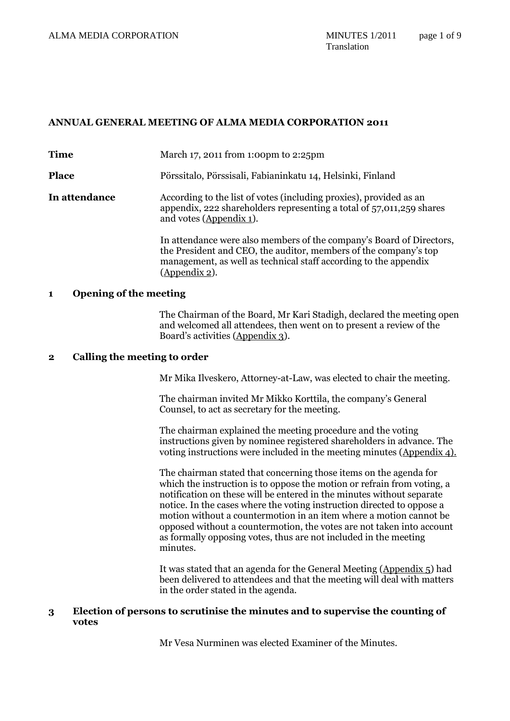# **ANNUAL GENERAL MEETING OF ALMA MEDIA CORPORATION 2011**

**Time** March 17, 2011 from 1:00pm to 2:25pm

**Place** Pörssitalo, Pörssisali, Fabianinkatu 14, Helsinki, Finland

**In attendance** According to the list of votes (including proxies), provided as an appendix, 222 shareholders representing a total of 57,011,259 shares and votes (Appendix 1).

> In attendance were also members of the company's Board of Directors, the President and CEO, the auditor, members of the company's top management, as well as technical staff according to the appendix (Appendix 2).

#### **1 Opening of the meeting**

The Chairman of the Board, Mr Kari Stadigh, declared the meeting open and welcomed all attendees, then went on to present a review of the Board's activities (Appendix 3).

#### **2 Calling the meeting to order**

Mr Mika Ilveskero, Attorney-at-Law, was elected to chair the meeting.

The chairman invited Mr Mikko Korttila, the company's General Counsel, to act as secretary for the meeting.

The chairman explained the meeting procedure and the voting instructions given by nominee registered shareholders in advance. The voting instructions were included in the meeting minutes (Appendix 4).

The chairman stated that concerning those items on the agenda for which the instruction is to oppose the motion or refrain from voting, a notification on these will be entered in the minutes without separate notice. In the cases where the voting instruction directed to oppose a motion without a countermotion in an item where a motion cannot be opposed without a countermotion, the votes are not taken into account as formally opposing votes, thus are not included in the meeting minutes.

It was stated that an agenda for the General Meeting (Appendix 5) had been delivered to attendees and that the meeting will deal with matters in the order stated in the agenda.

### **3 Election of persons to scrutinise the minutes and to supervise the counting of votes**

Mr Vesa Nurminen was elected Examiner of the Minutes.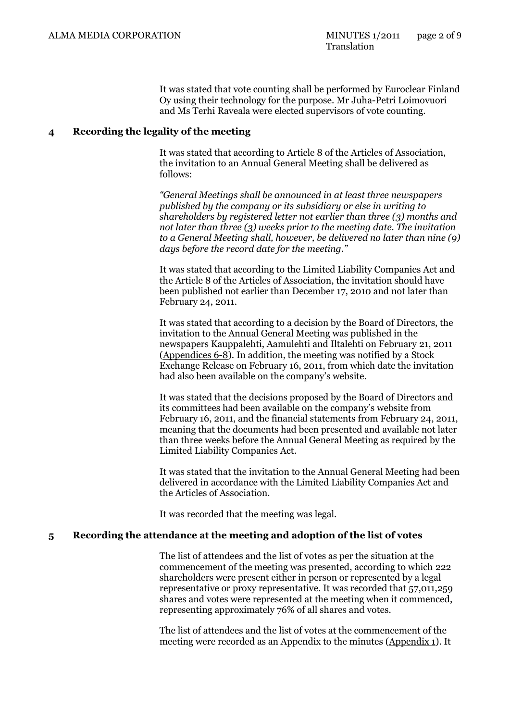It was stated that vote counting shall be performed by Euroclear Finland Oy using their technology for the purpose. Mr Juha-Petri Loimovuori and Ms Terhi Raveala were elected supervisors of vote counting.

# **4 Recording the legality of the meeting**

It was stated that according to Article 8 of the Articles of Association, the invitation to an Annual General Meeting shall be delivered as follows:

*"General Meetings shall be announced in at least three newspapers published by the company or its subsidiary or else in writing to shareholders by registered letter not earlier than three (3) months and not later than three (3) weeks prior to the meeting date. The invitation to a General Meeting shall, however, be delivered no later than nine (9) days before the record date for the meeting."*

It was stated that according to the Limited Liability Companies Act and the Article 8 of the Articles of Association, the invitation should have been published not earlier than December 17, 2010 and not later than February 24, 2011.

It was stated that according to a decision by the Board of Directors, the invitation to the Annual General Meeting was published in the newspapers Kauppalehti, Aamulehti and Iltalehti on February 21, 2011 (Appendices 6-8). In addition, the meeting was notified by a Stock Exchange Release on February 16, 2011, from which date the invitation had also been available on the company's website.

It was stated that the decisions proposed by the Board of Directors and its committees had been available on the company's website from February 16, 2011, and the financial statements from February 24, 2011, meaning that the documents had been presented and available not later than three weeks before the Annual General Meeting as required by the Limited Liability Companies Act.

It was stated that the invitation to the Annual General Meeting had been delivered in accordance with the Limited Liability Companies Act and the Articles of Association.

It was recorded that the meeting was legal.

## **5 Recording the attendance at the meeting and adoption of the list of votes**

The list of attendees and the list of votes as per the situation at the commencement of the meeting was presented, according to which 222 shareholders were present either in person or represented by a legal representative or proxy representative. It was recorded that 57,011,259 shares and votes were represented at the meeting when it commenced, representing approximately 76% of all shares and votes.

The list of attendees and the list of votes at the commencement of the meeting were recorded as an Appendix to the minutes (Appendix 1). It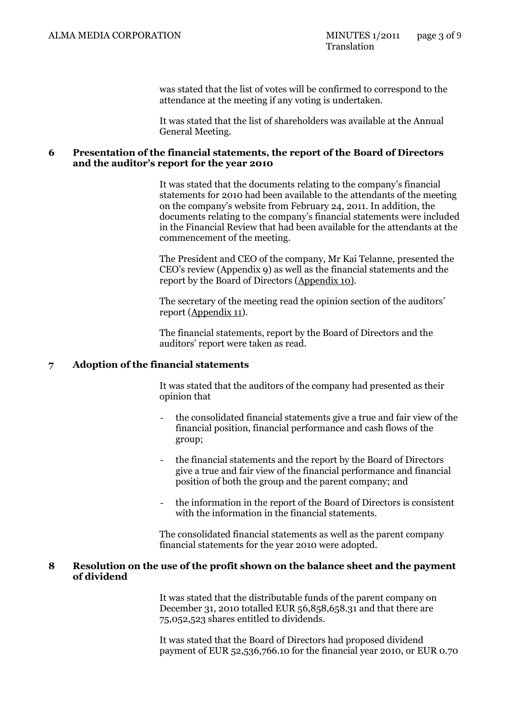was stated that the list of votes will be confirmed to correspond to the attendance at the meeting if any voting is undertaken.

It was stated that the list of shareholders was available at the Annual General Meeting.

# **6 Presentation of the financial statements, the report of the Board of Directors and the auditor's report for the year 2010**

It was stated that the documents relating to the company's financial statements for 2010 had been available to the attendants of the meeting on the company's website from February 24, 2011. In addition, the documents relating to the company's financial statements were included in the Financial Review that had been available for the attendants at the commencement of the meeting.

The President and CEO of the company, Mr Kai Telanne, presented the CEO's review (Appendix 9) as well as the financial statements and the report by the Board of Directors (Appendix 10).

The secretary of the meeting read the opinion section of the auditors' report (Appendix 11).

The financial statements, report by the Board of Directors and the auditors' report were taken as read.

# **7 Adoption of the financial statements**

It was stated that the auditors of the company had presented as their opinion that

- the consolidated financial statements give a true and fair view of the financial position, financial performance and cash flows of the group;
- the financial statements and the report by the Board of Directors give a true and fair view of the financial performance and financial position of both the group and the parent company; and
- the information in the report of the Board of Directors is consistent with the information in the financial statements.

The consolidated financial statements as well as the parent company financial statements for the year 2010 were adopted.

# **8 Resolution on the use of the profit shown on the balance sheet and the payment of dividend**

It was stated that the distributable funds of the parent company on December 31, 2010 totalled EUR 56,858,658.31 and that there are 75,052,523 shares entitled to dividends.

It was stated that the Board of Directors had proposed dividend payment of EUR 52,536,766.10 for the financial year 2010, or EUR 0.70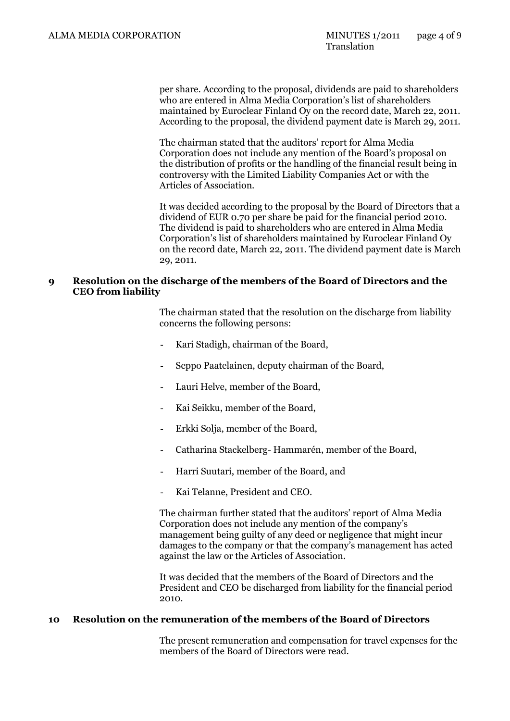per share. According to the proposal, dividends are paid to shareholders who are entered in Alma Media Corporation's list of shareholders maintained by Euroclear Finland  $\overline{Oy}$  on the record date, March 22, 2011. According to the proposal, the dividend payment date is March 29, 2011.

The chairman stated that the auditors' report for Alma Media Corporation does not include any mention of the Board's proposal on the distribution of profits or the handling of the financial result being in controversy with the Limited Liability Companies Act or with the Articles of Association.

It was decided according to the proposal by the Board of Directors that a dividend of EUR 0.70 per share be paid for the financial period 2010. The dividend is paid to shareholders who are entered in Alma Media Corporation's list of shareholders maintained by Euroclear Finland Oy on the record date, March 22, 2011. The dividend payment date is March 29, 2011.

## **9 Resolution on the discharge of the members of the Board of Directors and the CEO from liability**

The chairman stated that the resolution on the discharge from liability concerns the following persons:

- Kari Stadigh, chairman of the Board,
- Seppo Paatelainen, deputy chairman of the Board,
- Lauri Helve, member of the Board,
- Kai Seikku, member of the Board,
- Erkki Solja, member of the Board,
- Catharina Stackelberg- Hammarén, member of the Board,
- Harri Suutari, member of the Board, and
- Kai Telanne, President and CEO.

The chairman further stated that the auditors' report of Alma Media Corporation does not include any mention of the company's management being guilty of any deed or negligence that might incur damages to the company or that the company's management has acted against the law or the Articles of Association.

It was decided that the members of the Board of Directors and the President and CEO be discharged from liability for the financial period 2010.

# **10 Resolution on the remuneration of the members of the Board of Directors**

The present remuneration and compensation for travel expenses for the members of the Board of Directors were read.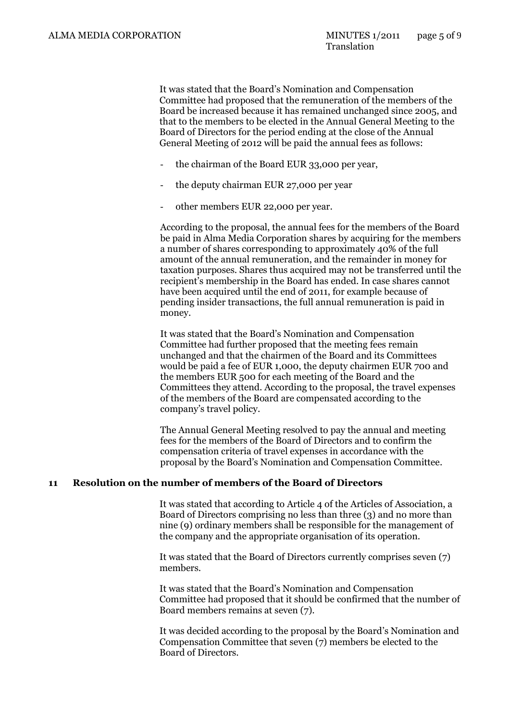It was stated that the Board's Nomination and Compensation Committee had proposed that the remuneration of the members of the Board be increased because it has remained unchanged since 2005, and that to the members to be elected in the Annual General Meeting to the Board of Directors for the period ending at the close of the Annual General Meeting of 2012 will be paid the annual fees as follows:

- the chairman of the Board EUR 33,000 per year,
- the deputy chairman EUR 27,000 per year
- other members EUR 22,000 per year.

According to the proposal, the annual fees for the members of the Board be paid in Alma Media Corporation shares by acquiring for the members a number of shares corresponding to approximately 40% of the full amount of the annual remuneration, and the remainder in money for taxation purposes. Shares thus acquired may not be transferred until the recipient's membership in the Board has ended. In case shares cannot have been acquired until the end of 2011, for example because of pending insider transactions, the full annual remuneration is paid in money.

It was stated that the Board's Nomination and Compensation Committee had further proposed that the meeting fees remain unchanged and that the chairmen of the Board and its Committees would be paid a fee of EUR 1,000, the deputy chairmen EUR 700 and the members EUR 500 for each meeting of the Board and the Committees they attend. According to the proposal, the travel expenses of the members of the Board are compensated according to the company's travel policy.

The Annual General Meeting resolved to pay the annual and meeting fees for the members of the Board of Directors and to confirm the compensation criteria of travel expenses in accordance with the proposal by the Board's Nomination and Compensation Committee.

# **11 Resolution on the number of members of the Board of Directors**

It was stated that according to Article 4 of the Articles of Association, a Board of Directors comprising no less than three (3) and no more than nine (9) ordinary members shall be responsible for the management of the company and the appropriate organisation of its operation.

It was stated that the Board of Directors currently comprises seven (7) members.

It was stated that the Board's Nomination and Compensation Committee had proposed that it should be confirmed that the number of Board members remains at seven (7).

It was decided according to the proposal by the Board's Nomination and Compensation Committee that seven (7) members be elected to the Board of Directors.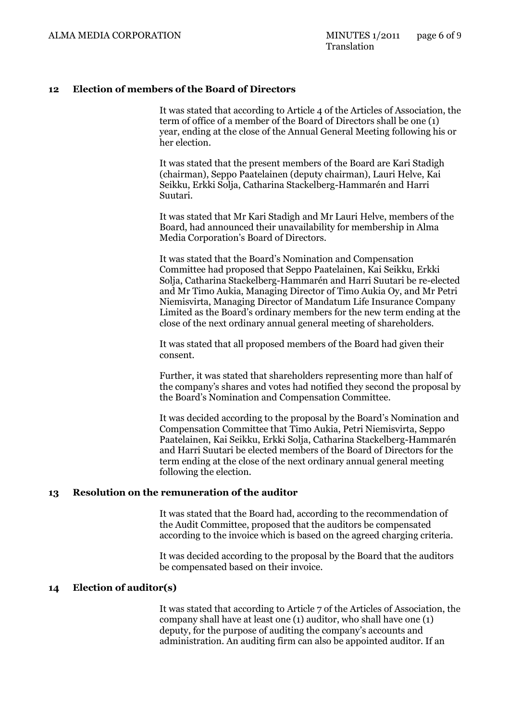# **12 Election of members of the Board of Directors**

It was stated that according to Article 4 of the Articles of Association, the term of office of a member of the Board of Directors shall be one (1) year, ending at the close of the Annual General Meeting following his or her election.

It was stated that the present members of the Board are Kari Stadigh (chairman), Seppo Paatelainen (deputy chairman), Lauri Helve, Kai Seikku, Erkki Solja, Catharina Stackelberg-Hammarén and Harri Suutari.

It was stated that Mr Kari Stadigh and Mr Lauri Helve, members of the Board, had announced their unavailability for membership in Alma Media Corporation's Board of Directors.

It was stated that the Board's Nomination and Compensation Committee had proposed that Seppo Paatelainen, Kai Seikku, Erkki Solja, Catharina Stackelberg-Hammarén and Harri Suutari be re-elected and Mr Timo Aukia, Managing Director of Timo Aukia Oy, and Mr Petri Niemisvirta, Managing Director of Mandatum Life Insurance Company Limited as the Board's ordinary members for the new term ending at the close of the next ordinary annual general meeting of shareholders.

It was stated that all proposed members of the Board had given their consent.

Further, it was stated that shareholders representing more than half of the company's shares and votes had notified they second the proposal by the Board's Nomination and Compensation Committee.

It was decided according to the proposal by the Board's Nomination and Compensation Committee that Timo Aukia, Petri Niemisvirta, Seppo Paatelainen, Kai Seikku, Erkki Solja, Catharina Stackelberg-Hammarén and Harri Suutari be elected members of the Board of Directors for the term ending at the close of the next ordinary annual general meeting following the election.

#### **13 Resolution on the remuneration of the auditor**

It was stated that the Board had, according to the recommendation of the Audit Committee, proposed that the auditors be compensated according to the invoice which is based on the agreed charging criteria.

It was decided according to the proposal by the Board that the auditors be compensated based on their invoice.

# **14 Election of auditor(s)**

It was stated that according to Article 7 of the Articles of Association, the company shall have at least one (1) auditor, who shall have one (1) deputy, for the purpose of auditing the company's accounts and administration. An auditing firm can also be appointed auditor. If an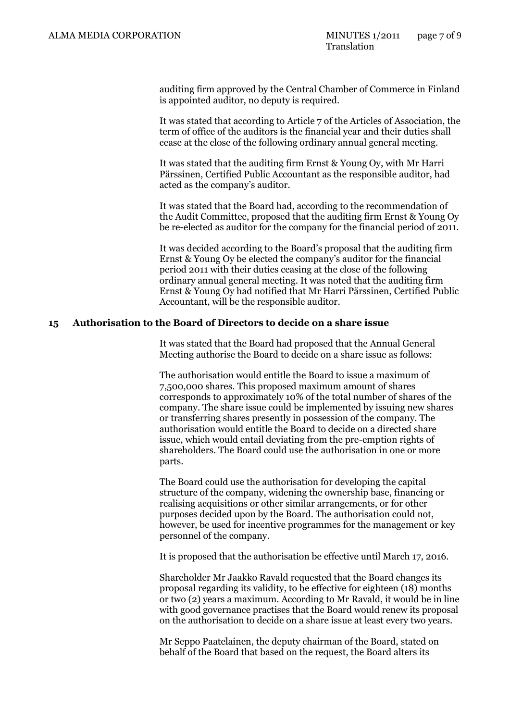auditing firm approved by the Central Chamber of Commerce in Finland is appointed auditor, no deputy is required.

It was stated that according to Article 7 of the Articles of Association, the term of office of the auditors is the financial year and their duties shall cease at the close of the following ordinary annual general meeting.

It was stated that the auditing firm Ernst & Young Oy, with Mr Harri Pärssinen, Certified Public Accountant as the responsible auditor, had acted as the company's auditor.

It was stated that the Board had, according to the recommendation of the Audit Committee, proposed that the auditing firm Ernst & Young Oy be re-elected as auditor for the company for the financial period of 2011.

It was decided according to the Board's proposal that the auditing firm Ernst & Young Oy be elected the company's auditor for the financial period 2011 with their duties ceasing at the close of the following ordinary annual general meeting. It was noted that the auditing firm Ernst & Young Oy had notified that Mr Harri Pärssinen, Certified Public Accountant, will be the responsible auditor.

# **15 Authorisation to the Board of Directors to decide on a share issue**

It was stated that the Board had proposed that the Annual General Meeting authorise the Board to decide on a share issue as follows:

The authorisation would entitle the Board to issue a maximum of 7,500,000 shares. This proposed maximum amount of shares corresponds to approximately 10% of the total number of shares of the company. The share issue could be implemented by issuing new shares or transferring shares presently in possession of the company. The authorisation would entitle the Board to decide on a directed share issue, which would entail deviating from the pre-emption rights of shareholders. The Board could use the authorisation in one or more parts.

The Board could use the authorisation for developing the capital structure of the company, widening the ownership base, financing or realising acquisitions or other similar arrangements, or for other purposes decided upon by the Board. The authorisation could not, however, be used for incentive programmes for the management or key personnel of the company.

It is proposed that the authorisation be effective until March 17, 2016.

Shareholder Mr Jaakko Ravald requested that the Board changes its proposal regarding its validity, to be effective for eighteen (18) months or two (2) years a maximum. According to Mr Ravald, it would be in line with good governance practises that the Board would renew its proposal on the authorisation to decide on a share issue at least every two years.

Mr Seppo Paatelainen, the deputy chairman of the Board, stated on behalf of the Board that based on the request, the Board alters its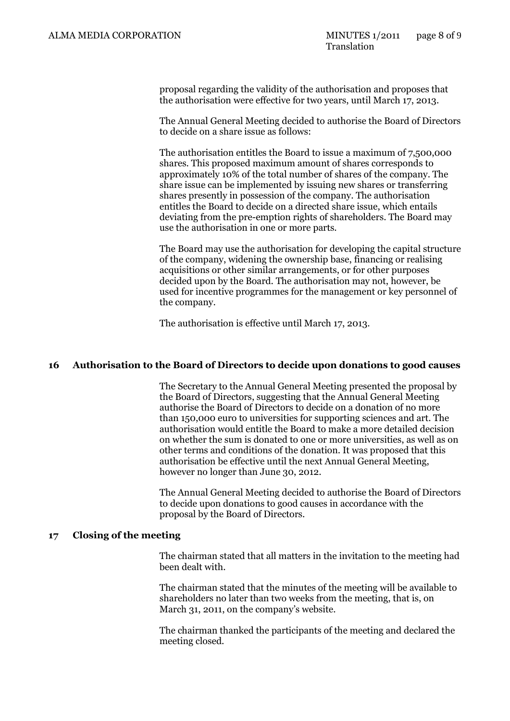proposal regarding the validity of the authorisation and proposes that the authorisation were effective for two years, until March 17, 2013.

The Annual General Meeting decided to authorise the Board of Directors to decide on a share issue as follows:

The authorisation entitles the Board to issue a maximum of 7,500,000 shares. This proposed maximum amount of shares corresponds to approximately 10% of the total number of shares of the company. The share issue can be implemented by issuing new shares or transferring shares presently in possession of the company. The authorisation entitles the Board to decide on a directed share issue, which entails deviating from the pre-emption rights of shareholders. The Board may use the authorisation in one or more parts.

The Board may use the authorisation for developing the capital structure of the company, widening the ownership base, financing or realising acquisitions or other similar arrangements, or for other purposes decided upon by the Board. The authorisation may not, however, be used for incentive programmes for the management or key personnel of the company.

The authorisation is effective until March 17, 2013.

#### **16 Authorisation to the Board of Directors to decide upon donations to good causes**

The Secretary to the Annual General Meeting presented the proposal by the Board of Directors, suggesting that the Annual General Meeting authorise the Board of Directors to decide on a donation of no more than 150,000 euro to universities for supporting sciences and art. The authorisation would entitle the Board to make a more detailed decision on whether the sum is donated to one or more universities, as well as on other terms and conditions of the donation. It was proposed that this authorisation be effective until the next Annual General Meeting, however no longer than June 30, 2012.

The Annual General Meeting decided to authorise the Board of Directors to decide upon donations to good causes in accordance with the proposal by the Board of Directors.

## **17 Closing of the meeting**

The chairman stated that all matters in the invitation to the meeting had been dealt with.

The chairman stated that the minutes of the meeting will be available to shareholders no later than two weeks from the meeting, that is, on March 31, 2011, on the company's website.

The chairman thanked the participants of the meeting and declared the meeting closed.